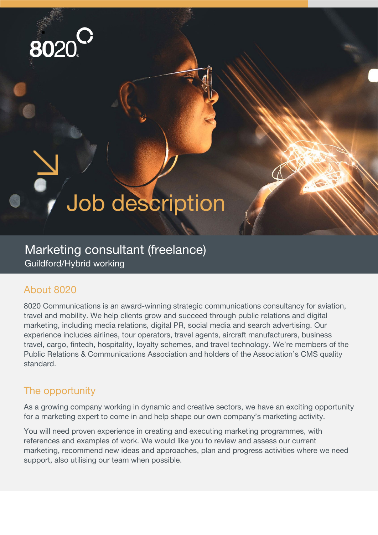

# Job description

## Marketing consultant (freelance) Guildford/Hybrid working

### About 8020

8020 Communications is an award-winning strategic communications consultancy for aviation, travel and mobility. We help clients grow and succeed through public relations and digital marketing, including media relations, digital PR, social media and search advertising. Our experience includes airlines, tour operators, travel agents, aircraft manufacturers, business travel, cargo, fintech, hospitality, loyalty schemes, and travel technology. We're members of the Public Relations & Communications Association and holders of the Association's CMS quality standard.

#### The opportunity

As a growing company working in dynamic and creative sectors, we have an exciting opportunity for a marketing expert to come in and help shape our own company's marketing activity.

You will need proven experience in creating and executing marketing programmes, with references and examples of work. We would like you to review and assess our current marketing, recommend new ideas and approaches, plan and progress activities where we need support, also utilising our team when possible.